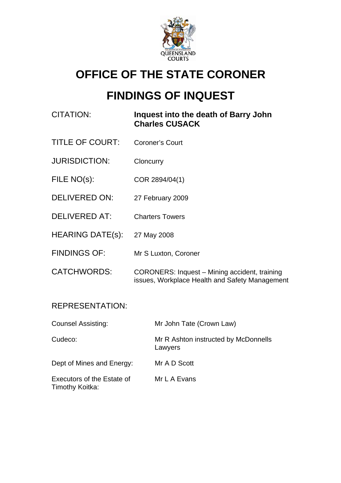

# **OFFICE OF THE STATE CORONER**

# **FINDINGS OF INQUEST**

| CITATION:               | Inquest into the death of Barry John<br><b>Charles CUSACK</b>                                   |
|-------------------------|-------------------------------------------------------------------------------------------------|
| <b>TITLE OF COURT:</b>  | <b>Coroner's Court</b>                                                                          |
| <b>JURISDICTION:</b>    | Cloncurry                                                                                       |
| FILE NO(s):             | COR 2894/04(1)                                                                                  |
| <b>DELIVERED ON:</b>    | 27 February 2009                                                                                |
| <b>DELIVERED AT:</b>    | <b>Charters Towers</b>                                                                          |
| <b>HEARING DATE(s):</b> | 27 May 2008                                                                                     |
| <b>FINDINGS OF:</b>     | Mr S Luxton, Coroner                                                                            |
| <b>CATCHWORDS:</b>      | CORONERS: Inquest - Mining accident, training<br>issues, Workplace Health and Safety Management |

### REPRESENTATION:

| <b>Counsel Assisting:</b>                     | Mr John Tate (Crown Law)                        |
|-----------------------------------------------|-------------------------------------------------|
| Cudeco:                                       | Mr R Ashton instructed by McDonnells<br>Lawyers |
| Dept of Mines and Energy:                     | Mr A D Scott                                    |
| Executors of the Estate of<br>Timothy Koitka: | Mr L A Evans                                    |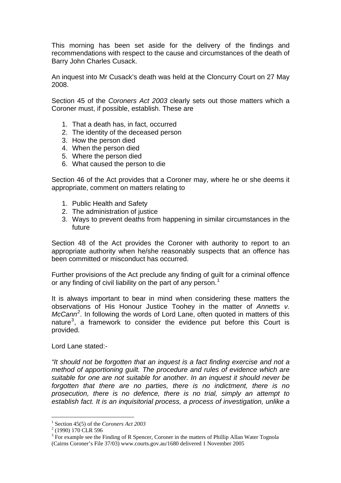This morning has been set aside for the delivery of the findings and recommendations with respect to the cause and circumstances of the death of Barry John Charles Cusack.

An inquest into Mr Cusack's death was held at the Cloncurry Court on 27 May 2008.

Section 45 of the *Coroners Act 2003* clearly sets out those matters which a Coroner must, if possible, establish. These are

- 1. That a death has, in fact, occurred
- 2. The identity of the deceased person
- 3. How the person died
- 4. When the person died
- 5. Where the person died
- 6. What caused the person to die

Section 46 of the Act provides that a Coroner may, where he or she deems it appropriate, comment on matters relating to

- 1. Public Health and Safety
- 2. The administration of justice
- 3. Ways to prevent deaths from happening in similar circumstances in the future

Section 48 of the Act provides the Coroner with authority to report to an appropriate authority when he/she reasonably suspects that an offence has been committed or misconduct has occurred.

Further provisions of the Act preclude any finding of guilt for a criminal offence or any finding of civil liability on the part of any person.<sup>[1](#page-1-0)</sup>

It is always important to bear in mind when considering these matters the observations of His Honour Justice Toohey in the matter of *Annetts v. McCann[2](#page-1-1) .* In following the words of Lord Lane, often quoted in matters of this nature<sup>[3](#page-1-2)</sup>, a framework to consider the evidence put before this Court is provided.

Lord Lane stated:-

*"It should not be forgotten that an inquest is a fact finding exercise and not a method of apportioning guilt. The procedure and rules of evidence which are suitable for one are not suitable for another. In an inquest it should never be forgotten that there are no parties, there is no indictment, there is no prosecution, there is no defence, there is no trial, simply an attempt to establish fact. It is an inquisitorial process, a process of investigation, unlike a* 

<sup>&</sup>lt;sup>1</sup> Section 45(5) of the *Coroners Act 2003*<br><sup>2</sup> (1000) 170 CLB 506

<span id="page-1-1"></span><span id="page-1-0"></span> $^{2}$  (1990) 170 CLR 596

<span id="page-1-2"></span> $3$  For example see the Finding of R Spencer, Coroner in the matters of Phillip Allan Water Tognola (Cairns Coroner's File 37/03) www.courts.gov.au/1680 delivered 1 November 2005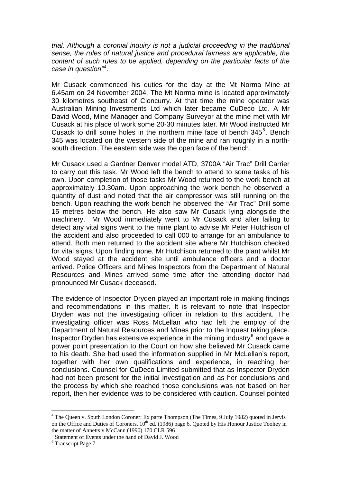*trial. Although a coronial inquiry is not a judicial proceeding in the traditional sense, the rules of natural justice and procedural fairness are applicable, the content of such rules to be applied, depending on the particular facts of the case in question"[4](#page-2-0) .* 

Mr Cusack commenced his duties for the day at the Mt Norma Mine at 6.45am on 24 November 2004. The Mt Norma mine is located approximately 30 kilometres southeast of Cloncurry. At that time the mine operator was Australian Mining Investments Ltd which later became CuDeco Ltd. A Mr David Wood, Mine Manager and Company Surveyor at the mine met with Mr Cusack at his place of work some 20-30 minutes later. Mr Wood instructed Mr Cusack to drill some holes in the northern mine face of bench  $345^5$  $345^5$  $345^5$ . Bench 345 was located on the western side of the mine and ran roughly in a northsouth direction. The eastern side was the open face of the bench.

Mr Cusack used a Gardner Denver model ATD, 3700A "Air Trac" Drill Carrier to carry out this task. Mr Wood left the bench to attend to some tasks of his own. Upon completion of those tasks Mr Wood returned to the work bench at approximately 10.30am. Upon approaching the work bench he observed a quantity of dust and noted that the air compressor was still running on the bench. Upon reaching the work bench he observed the "Air Trac" Drill some 15 metres below the bench. He also saw Mr Cusack lying alongside the machinery. Mr Wood immediately went to Mr Cusack and after failing to detect any vital signs went to the mine plant to advise Mr Peter Hutchison of the accident and also proceeded to call 000 to arrange for an ambulance to attend. Both men returned to the accident site where Mr Hutchison checked for vital signs. Upon finding none, Mr Hutchison returned to the plant whilst Mr Wood stayed at the accident site until ambulance officers and a doctor arrived. Police Officers and Mines Inspectors from the Department of Natural Resources and Mines arrived some time after the attending doctor had pronounced Mr Cusack deceased.

The evidence of Inspector Dryden played an important role in making findings and recommendations in this matter. It is relevant to note that Inspector Dryden was not the investigating officer in relation to this accident. The investigating officer was Ross McLellan who had left the employ of the Department of Natural Resources and Mines prior to the Inquest taking place. Inspector Dryden has extensive experience in the mining industry $6$  and gave a power point presentation to the Court on how she believed Mr Cusack came to his death. She had used the information supplied in Mr McLellan's report, together with her own qualifications and experience, in reaching her conclusions. Counsel for CuDeco Limited submitted that as Inspector Dryden had not been present for the initial investigation and as her conclusions and the process by which she reached those conclusions was not based on her report, then her evidence was to be considered with caution. Counsel pointed

<span id="page-2-0"></span><sup>&</sup>lt;sup>4</sup> The Queen v. South London Coroner; Ex parte Thompson (The Times, 9 July 1982) quoted in Jervis on the Office and Duties of Coroners,  $10^{th}$  ed. (1986) page 6. Quoted by His Honour Justice Toohey in the matter of Annetts v McCann (1990) 170 CLR 596

<span id="page-2-1"></span><sup>5</sup> Statement of Events under the hand of David J. Wood

<span id="page-2-2"></span><sup>&</sup>lt;sup>6</sup> Transcript Page 7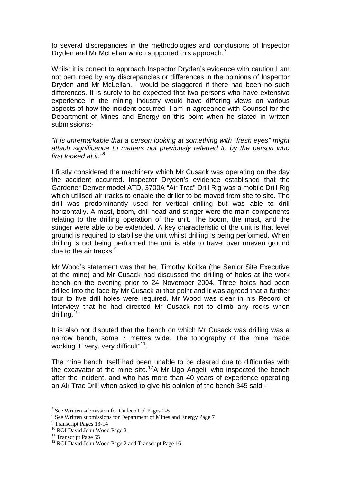to several discrepancies in the methodologies and conclusions of Inspector Dryden and Mr McLellan which supported this approach.<sup>[7](#page-3-0)</sup>

Whilst it is correct to approach Inspector Dryden's evidence with caution I am not perturbed by any discrepancies or differences in the opinions of Inspector Dryden and Mr McLellan. I would be staggered if there had been no such differences. It is surely to be expected that two persons who have extensive experience in the mining industry would have differing views on various aspects of how the incident occurred. I am in agreeance with Counsel for the Department of Mines and Energy on this point when he stated in written submissions:-

*"It is unremarkable that a person looking at something with "fresh eyes" might attach significance to matters not previously referred to by the person who first looked at it."[8](#page-3-1)*

I firstly considered the machinery which Mr Cusack was operating on the day the accident occurred. Inspector Dryden's evidence established that the Gardener Denver model ATD, 3700A "Air Trac" Drill Rig was a mobile Drill Rig which utilised air tracks to enable the driller to be moved from site to site. The drill was predominantly used for vertical drilling but was able to drill horizontally. A mast, boom, drill head and stinger were the main components relating to the drilling operation of the unit. The boom, the mast, and the stinger were able to be extended. A key characteristic of the unit is that level ground is required to stabilise the unit whilst drilling is being performed. When drilling is not being performed the unit is able to travel over uneven ground due to the air tracks.

Mr Wood's statement was that he, Timothy Koitka (the Senior Site Executive at the mine) and Mr Cusack had discussed the drilling of holes at the work bench on the evening prior to 24 November 2004. Three holes had been drilled into the face by Mr Cusack at that point and it was agreed that a further four to five drill holes were required. Mr Wood was clear in his Record of Interview that he had directed Mr Cusack not to climb any rocks when drilling.<sup>[10](#page-3-3)</sup>

It is also not disputed that the bench on which Mr Cusack was drilling was a narrow bench, some 7 metres wide. The topography of the mine made working it "very, very difficult"<sup>[11](#page-3-4)</sup>.

The mine bench itself had been unable to be cleared due to difficulties with the excavator at the mine site.<sup>[12](#page-3-5)</sup>A Mr Ugo Angeli, who inspected the bench after the incident, and who has more than 40 years of experience operating an Air Trac Drill when asked to give his opinion of the bench 345 said:-

<span id="page-3-0"></span><sup>&</sup>lt;sup>7</sup> See Written submission for Cudeco Ltd Pages 2-5

<span id="page-3-1"></span><sup>&</sup>lt;sup>8</sup> See Written submissions for Department of Mines and Energy Page 7

<span id="page-3-2"></span><sup>&</sup>lt;sup>9</sup> Transcript Pages 13-14 <sup>10</sup> ROI David John Wood Page 2

<span id="page-3-4"></span><span id="page-3-3"></span><sup>&</sup>lt;sup>11</sup> Transcript Page 55

<span id="page-3-5"></span><sup>&</sup>lt;sup>12</sup> ROI David John Wood Page 2 and Transcript Page 16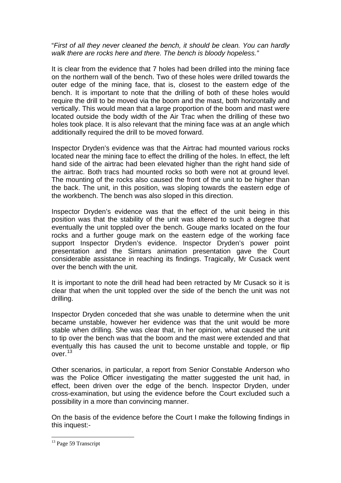"*First of all they never cleaned the bench, it should be clean. You can hardly walk there are rocks here and there. The bench is bloody hopeless."* 

It is clear from the evidence that 7 holes had been drilled into the mining face on the northern wall of the bench. Two of these holes were drilled towards the outer edge of the mining face, that is, closest to the eastern edge of the bench. It is important to note that the drilling of both of these holes would require the drill to be moved via the boom and the mast, both horizontally and vertically. This would mean that a large proportion of the boom and mast were located outside the body width of the Air Trac when the drilling of these two holes took place. It is also relevant that the mining face was at an angle which additionally required the drill to be moved forward.

Inspector Dryden's evidence was that the Airtrac had mounted various rocks located near the mining face to effect the drilling of the holes. In effect, the left hand side of the airtrac had been elevated higher than the right hand side of the airtrac. Both tracs had mounted rocks so both were not at ground level. The mounting of the rocks also caused the front of the unit to be higher than the back. The unit, in this position, was sloping towards the eastern edge of the workbench. The bench was also sloped in this direction.

Inspector Dryden's evidence was that the effect of the unit being in this position was that the stability of the unit was altered to such a degree that eventually the unit toppled over the bench. Gouge marks located on the four rocks and a further gouge mark on the eastern edge of the working face support Inspector Dryden's evidence. Inspector Dryden's power point presentation and the Simtars animation presentation gave the Court considerable assistance in reaching its findings. Tragically, Mr Cusack went over the bench with the unit.

It is important to note the drill head had been retracted by Mr Cusack so it is clear that when the unit toppled over the side of the bench the unit was not drilling.

Inspector Dryden conceded that she was unable to determine when the unit became unstable, however her evidence was that the unit would be more stable when drilling. She was clear that, in her opinion, what caused the unit to tip over the bench was that the boom and the mast were extended and that eventually this has caused the unit to become unstable and topple, or flip over.[13](#page-4-0)

Other scenarios, in particular, a report from Senior Constable Anderson who was the Police Officer investigating the matter suggested the unit had, in effect, been driven over the edge of the bench. Inspector Dryden, under cross-examination, but using the evidence before the Court excluded such a possibility in a more than convincing manner.

On the basis of the evidence before the Court I make the following findings in this inquest:-

<span id="page-4-0"></span><sup>&</sup>lt;sup>13</sup> Page 59 Transcript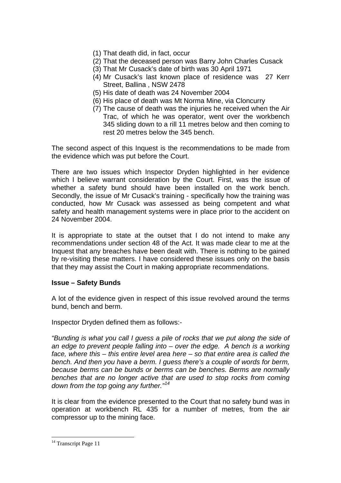- (1) That death did, in fact, occur
- (2) That the deceased person was Barry John Charles Cusack
- (3) That Mr Cusack's date of birth was 30 April 1971
- (4) Mr Cusack's last known place of residence was 27 Kerr Street, Ballina , NSW 2478
- (5) His date of death was 24 November 2004
- (6) His place of death was Mt Norma Mine, via Cloncurry
- (7) The cause of death was the injuries he received when the Air Trac, of which he was operator, went over the workbench 345 sliding down to a rill 11 metres below and then coming to rest 20 metres below the 345 bench.

The second aspect of this Inquest is the recommendations to be made from the evidence which was put before the Court.

There are two issues which Inspector Dryden highlighted in her evidence which I believe warrant consideration by the Court. First, was the issue of whether a safety bund should have been installed on the work bench. Secondly, the issue of Mr Cusack's training - specifically how the training was conducted, how Mr Cusack was assessed as being competent and what safety and health management systems were in place prior to the accident on 24 November 2004.

It is appropriate to state at the outset that I do not intend to make any recommendations under section 48 of the Act. It was made clear to me at the Inquest that any breaches have been dealt with. There is nothing to be gained by re-visiting these matters. I have considered these issues only on the basis that they may assist the Court in making appropriate recommendations.

#### **Issue – Safety Bunds**

A lot of the evidence given in respect of this issue revolved around the terms bund, bench and berm.

Inspector Dryden defined them as follows:-

*"Bunding is what you call I guess a pile of rocks that we put along the side of an edge to prevent people falling into – over the edge. A bench is a working face, where this – this entire level area here – so that entire area is called the bench. And then you have a berm. I guess there's a couple of words for berm, because berms can be bunds or berms can be benches. Berms are normally benches that are no longer active that are used to stop rocks from coming down from the top going any further."[14](#page-5-0)*

It is clear from the evidence presented to the Court that no safety bund was in operation at workbench RL 435 for a number of metres, from the air compressor up to the mining face.

<span id="page-5-0"></span><sup>&</sup>lt;sup>14</sup> Transcript Page 11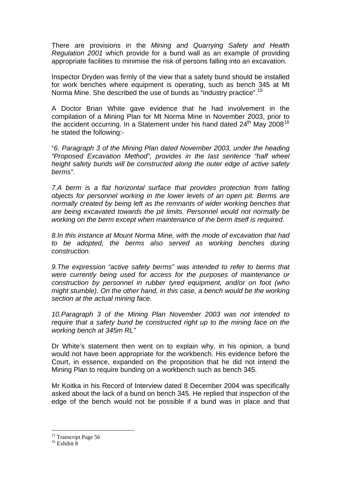There are provisions in the *Mining and Quarrying Safety and Health Regulation 2001* which provide for a bund wall as an example of providing appropriate facilities to minimise the risk of persons falling into an excavation.

Inspector Dryden was firmly of the view that a safety bund should be installed for work benches where equipment is operating, such as bench 345 at Mt Norma Mine. She described the use of bunds as "industry practice".[15](#page-6-0)

A Doctor Brian White gave evidence that he had involvement in the compilation of a Mining Plan for Mt Norma Mine in November 2003, prior to the accident occurring. In a Statement under his hand dated  $24<sup>th</sup>$  Mav 2008<sup>[16](#page-6-1)</sup> he stated the following:-

"*6. Paragraph 3 of the Mining Plan dated November 2003, under the heading "Proposed Excavation Method", provides in the last sentence "half wheel height safety bunds will be constructed along the outer edge of active safety berms".* 

*7.A berm is a flat horizontal surface that provides protection from falling objects for personnel working in the lower levels of an open pit. Berms are normally created by being left as the remnants of wider working benches that are being excavated towards the pit limits. Personnel would not normally be working on the berm except when maintenance of the berm itself is required.* 

*8.In this instance at Mount Norma Mine, with the mode of excavation that had to be adopted, the berms also served as working benches during construction.* 

*9.The expression "active safety berms" was intended to refer to berms that were currently being used for access for the purposes of maintenance or construction by personnel in rubber tyred equipment, and/or on foot (who might stumble). On the other hand, in this case, a bench would be the working section at the actual mining face.* 

*10.Paragraph 3 of the Mining Plan November 2003 was not intended to require that a safety bund be constructed right up to the mining face on the working bench at 345m RL"* 

Dr White's statement then went on to explain why, in his opinion, a bund would not have been appropriate for the workbench. His evidence before the Court, in essence, expanded on the proposition that he did not intend the Mining Plan to require bunding on a workbench such as bench 345.

Mr Koitka in his Record of Interview dated 8 December 2004 was specifically asked about the lack of a bund on bench 345. He replied that inspection of the edge of the bench would not be possible if a bund was in place and that

<sup>&</sup>lt;sup>15</sup> Transcript Page 56

<span id="page-6-1"></span><span id="page-6-0"></span> $16$  Exhibit  $8$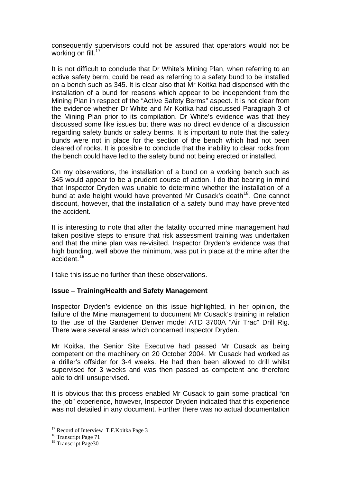consequently supervisors could not be assured that operators would not be working on fill.<sup>[17](#page-7-0)</sup>

It is not difficult to conclude that Dr White's Mining Plan, when referring to an active safety berm, could be read as referring to a safety bund to be installed on a bench such as 345. It is clear also that Mr Koitka had dispensed with the installation of a bund for reasons which appear to be independent from the Mining Plan in respect of the "Active Safety Berms" aspect. It is not clear from the evidence whether Dr White and Mr Koitka had discussed Paragraph 3 of the Mining Plan prior to its compilation. Dr White's evidence was that they discussed some like issues but there was no direct evidence of a discussion regarding safety bunds or safety berms. It is important to note that the safety bunds were not in place for the section of the bench which had not been cleared of rocks. It is possible to conclude that the inability to clear rocks from the bench could have led to the safety bund not being erected or installed.

On my observations, the installation of a bund on a working bench such as 345 would appear to be a prudent course of action. I do that bearing in mind that Inspector Dryden was unable to determine whether the installation of a bund at axle height would have prevented Mr Cusack's death<sup>[18](#page-7-1)</sup>. One cannot discount, however, that the installation of a safety bund may have prevented the accident.

It is interesting to note that after the fatality occurred mine management had taken positive steps to ensure that risk assessment training was undertaken and that the mine plan was re-visited. Inspector Dryden's evidence was that high bunding, well above the minimum, was put in place at the mine after the accident.[19](#page-7-2)

I take this issue no further than these observations.

#### **Issue – Training/Health and Safety Management**

Inspector Dryden's evidence on this issue highlighted, in her opinion, the failure of the Mine management to document Mr Cusack's training in relation to the use of the Gardener Denver model ATD 3700A "Air Trac" Drill Rig. There were several areas which concerned Inspector Dryden.

Mr Koitka, the Senior Site Executive had passed Mr Cusack as being competent on the machinery on 20 October 2004. Mr Cusack had worked as a driller's offsider for 3-4 weeks. He had then been allowed to drill whilst supervised for 3 weeks and was then passed as competent and therefore able to drill unsupervised.

It is obvious that this process enabled Mr Cusack to gain some practical "on the job" experience, however, Inspector Dryden indicated that this experience was not detailed in any document. Further there was no actual documentation

<sup>&</sup>lt;sup>17</sup> Record of Interview T.F.Koitka Page 3

<span id="page-7-1"></span><span id="page-7-0"></span><sup>&</sup>lt;sup>18</sup> Transcript Page 71

<span id="page-7-2"></span><sup>&</sup>lt;sup>19</sup> Transcript Page30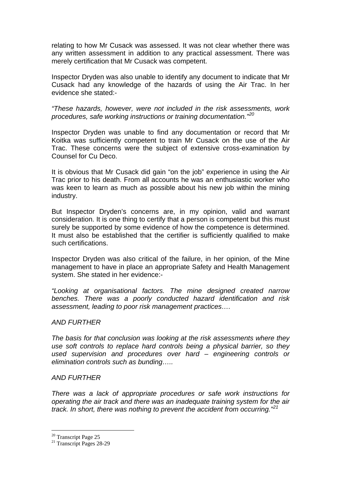relating to how Mr Cusack was assessed. It was not clear whether there was any written assessment in addition to any practical assessment. There was merely certification that Mr Cusack was competent.

Inspector Dryden was also unable to identify any document to indicate that Mr Cusack had any knowledge of the hazards of using the Air Trac. In her evidence she stated:-

*"These hazards, however, were not included in the risk assessments, work procedures, safe working instructions or training documentation."[20](#page-8-0)*

Inspector Dryden was unable to find any documentation or record that Mr Koitka was sufficiently competent to train Mr Cusack on the use of the Air Trac. These concerns were the subject of extensive cross-examination by Counsel for Cu Deco.

It is obvious that Mr Cusack did gain "on the job" experience in using the Air Trac prior to his death. From all accounts he was an enthusiastic worker who was keen to learn as much as possible about his new job within the mining industry.

But Inspector Dryden's concerns are, in my opinion, valid and warrant consideration. It is one thing to certify that a person is competent but this must surely be supported by some evidence of how the competence is determined. It must also be established that the certifier is sufficiently qualified to make such certifications.

Inspector Dryden was also critical of the failure, in her opinion, of the Mine management to have in place an appropriate Safety and Health Management system. She stated in her evidence:-

*"Looking at organisational factors. The mine designed created narrow benches. There was a poorly conducted hazard identification and risk assessment, leading to poor risk management practices….* 

#### *AND FURTHER*

*The basis for that conclusion was looking at the risk assessments where they use soft controls to replace hard controls being a physical barrier, so they used supervision and procedures over hard – engineering controls or elimination controls such as bunding…..* 

#### *AND FURTHER*

*There was a lack of appropriate procedures or safe work instructions for operating the air track and there was an inadequate training system for the air track. In short, there was nothing to prevent the accident from occurring."[21](#page-8-1)*

<sup>&</sup>lt;sup>20</sup> Transcript Page 25

<span id="page-8-1"></span><span id="page-8-0"></span><sup>&</sup>lt;sup>21</sup> Transcript Pages 28-29